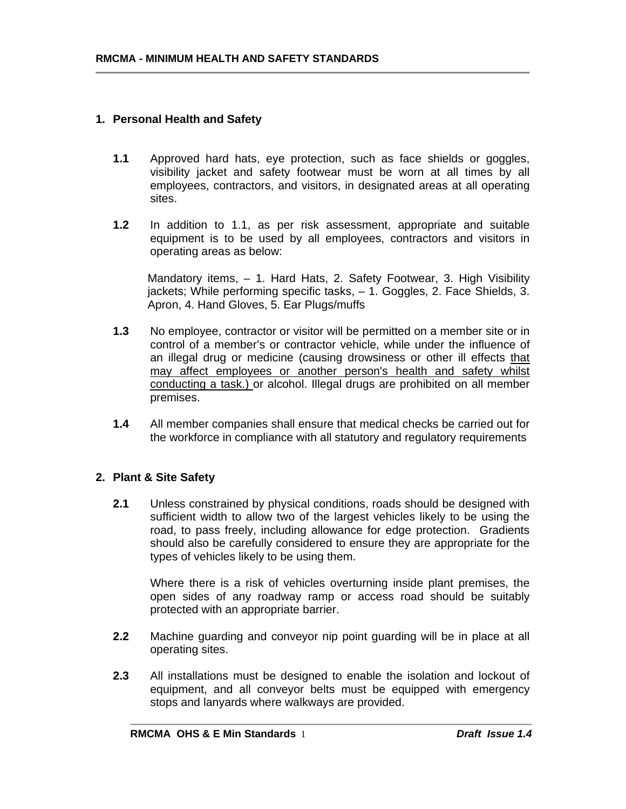### **1. Personal Health and Safety**

- **1.1** Approved hard hats, eye protection, such as face shields or goggles, visibility jacket and safety footwear must be worn at all times by all employees, contractors, and visitors, in designated areas at all operating sites.
- **1.2** In addition to 1.1, as per risk assessment, appropriate and suitable equipment is to be used by all employees, contractors and visitors in operating areas as below:

Mandatory items, – 1. Hard Hats, 2. Safety Footwear, 3. High Visibility jackets; While performing specific tasks, – 1. Goggles, 2. Face Shields, 3. Apron, 4. Hand Gloves, 5. Ear Plugs/muffs

- **1.3** No employee, contractor or visitor will be permitted on a member site or in control of a member's or contractor vehicle, while under the influence of an illegal drug or medicine (causing drowsiness or other ill effects that may affect employees or another person's health and safety whilst conducting a task.) or alcohol. Illegal drugs are prohibited on all member premises.
- **1.4** All member companies shall ensure that medical checks be carried out for the workforce in compliance with all statutory and regulatory requirements

## **2. Plant & Site Safety**

**2.1** Unless constrained by physical conditions, roads should be designed with sufficient width to allow two of the largest vehicles likely to be using the road, to pass freely, including allowance for edge protection. Gradients should also be carefully considered to ensure they are appropriate for the types of vehicles likely to be using them.

Where there is a risk of vehicles overturning inside plant premises, the open sides of any roadway ramp or access road should be suitably protected with an appropriate barrier.

- **2.2** Machine guarding and conveyor nip point guarding will be in place at all operating sites.
- **2.3** All installations must be designed to enable the isolation and lockout of equipment, and all conveyor belts must be equipped with emergency stops and lanyards where walkways are provided.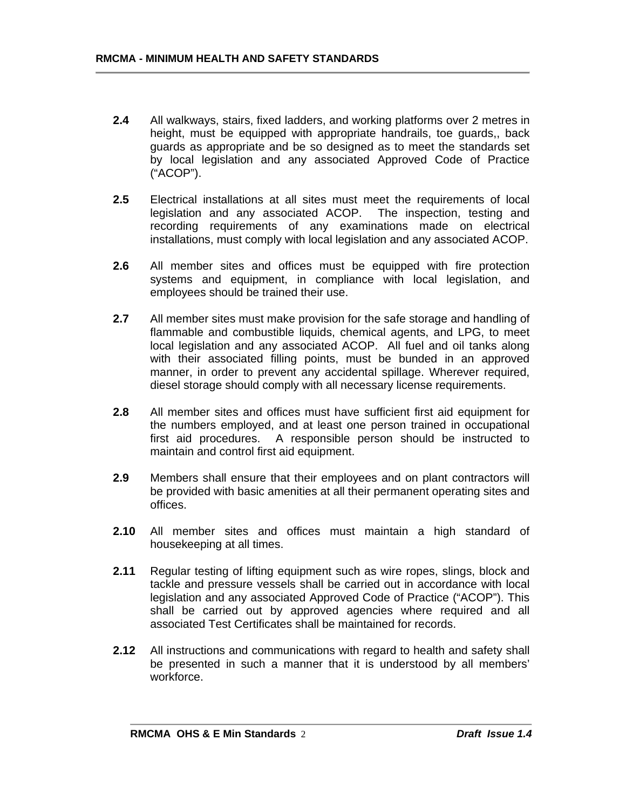- **2.4** All walkways, stairs, fixed ladders, and working platforms over 2 metres in height, must be equipped with appropriate handrails, toe guards,, back guards as appropriate and be so designed as to meet the standards set by local legislation and any associated Approved Code of Practice ("ACOP").
- **2.5** Electrical installations at all sites must meet the requirements of local legislation and any associated ACOP. The inspection, testing and recording requirements of any examinations made on electrical installations, must comply with local legislation and any associated ACOP.
- **2.6** All member sites and offices must be equipped with fire protection systems and equipment, in compliance with local legislation, and employees should be trained their use.
- **2.7** All member sites must make provision for the safe storage and handling of flammable and combustible liquids, chemical agents, and LPG, to meet local legislation and any associated ACOP. All fuel and oil tanks along with their associated filling points, must be bunded in an approved manner, in order to prevent any accidental spillage. Wherever required, diesel storage should comply with all necessary license requirements.
- **2.8** All member sites and offices must have sufficient first aid equipment for the numbers employed, and at least one person trained in occupational first aid procedures. A responsible person should be instructed to maintain and control first aid equipment.
- **2.9** Members shall ensure that their employees and on plant contractors will be provided with basic amenities at all their permanent operating sites and offices.
- **2.10** All member sites and offices must maintain a high standard of housekeeping at all times.
- **2.11** Regular testing of lifting equipment such as wire ropes, slings, block and tackle and pressure vessels shall be carried out in accordance with local legislation and any associated Approved Code of Practice ("ACOP"). This shall be carried out by approved agencies where required and all associated Test Certificates shall be maintained for records.
- **2.12** All instructions and communications with regard to health and safety shall be presented in such a manner that it is understood by all members' workforce.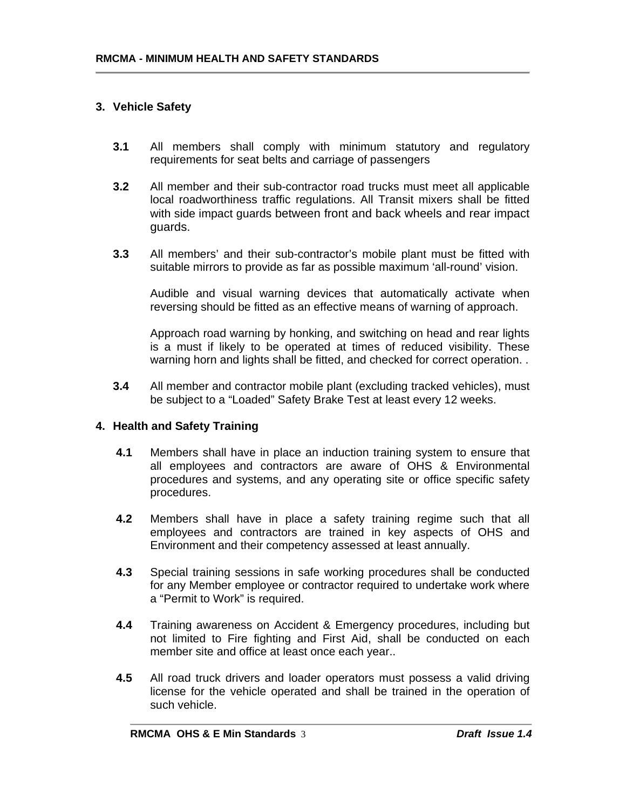# **3. Vehicle Safety**

- **3.1** All members shall comply with minimum statutory and regulatory requirements for seat belts and carriage of passengers
- **3.2** All member and their sub-contractor road trucks must meet all applicable local roadworthiness traffic regulations. All Transit mixers shall be fitted with side impact guards between front and back wheels and rear impact guards.
- **3.3** All members' and their sub-contractor's mobile plant must be fitted with suitable mirrors to provide as far as possible maximum 'all-round' vision.

Audible and visual warning devices that automatically activate when reversing should be fitted as an effective means of warning of approach.

Approach road warning by honking, and switching on head and rear lights is a must if likely to be operated at times of reduced visibility. These warning horn and lights shall be fitted, and checked for correct operation. .

**3.4** All member and contractor mobile plant (excluding tracked vehicles), must be subject to a "Loaded" Safety Brake Test at least every 12 weeks.

#### **4. Health and Safety Training**

- **4.1** Members shall have in place an induction training system to ensure that all employees and contractors are aware of OHS & Environmental procedures and systems, and any operating site or office specific safety procedures.
- **4.2** Members shall have in place a safety training regime such that all employees and contractors are trained in key aspects of OHS and Environment and their competency assessed at least annually.
- **4.3** Special training sessions in safe working procedures shall be conducted for any Member employee or contractor required to undertake work where a "Permit to Work" is required.
- **4.4** Training awareness on Accident & Emergency procedures, including but not limited to Fire fighting and First Aid, shall be conducted on each member site and office at least once each year..
- **4.5** All road truck drivers and loader operators must possess a valid driving license for the vehicle operated and shall be trained in the operation of such vehicle.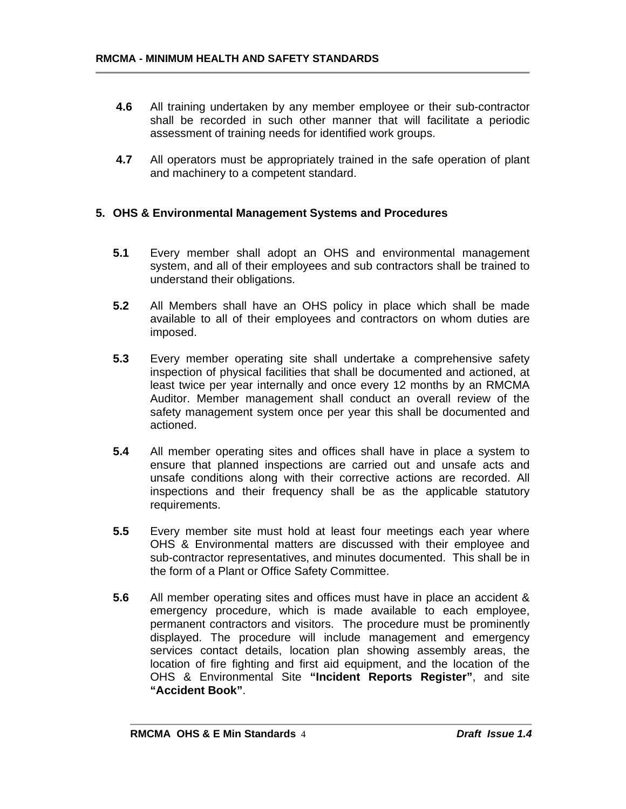- **4.6** All training undertaken by any member employee or their sub-contractor shall be recorded in such other manner that will facilitate a periodic assessment of training needs for identified work groups.
- **4.7** All operators must be appropriately trained in the safe operation of plant and machinery to a competent standard.

### **5. OHS & Environmental Management Systems and Procedures**

- **5.1** Every member shall adopt an OHS and environmental management system, and all of their employees and sub contractors shall be trained to understand their obligations.
- **5.2** All Members shall have an OHS policy in place which shall be made available to all of their employees and contractors on whom duties are imposed.
- **5.3** Every member operating site shall undertake a comprehensive safety inspection of physical facilities that shall be documented and actioned, at least twice per year internally and once every 12 months by an RMCMA Auditor. Member management shall conduct an overall review of the safety management system once per year this shall be documented and actioned.
- **5.4** All member operating sites and offices shall have in place a system to ensure that planned inspections are carried out and unsafe acts and unsafe conditions along with their corrective actions are recorded. All inspections and their frequency shall be as the applicable statutory requirements.
- **5.5** Every member site must hold at least four meetings each year where OHS & Environmental matters are discussed with their employee and sub-contractor representatives, and minutes documented. This shall be in the form of a Plant or Office Safety Committee.
- **5.6** All member operating sites and offices must have in place an accident & emergency procedure, which is made available to each employee, permanent contractors and visitors. The procedure must be prominently displayed. The procedure will include management and emergency services contact details, location plan showing assembly areas, the location of fire fighting and first aid equipment, and the location of the OHS & Environmental Site **"Incident Reports Register"**, and site **"Accident Book"**.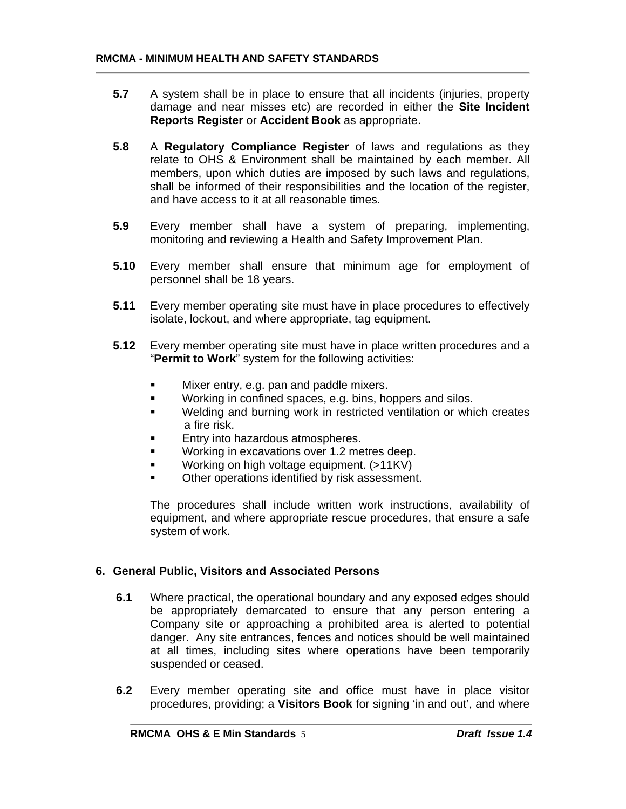- **5.7** A system shall be in place to ensure that all incidents (injuries, property damage and near misses etc) are recorded in either the **Site Incident Reports Register** or **Accident Book** as appropriate.
- **5.8** A **Regulatory Compliance Register** of laws and regulations as they relate to OHS & Environment shall be maintained by each member. All members, upon which duties are imposed by such laws and regulations, shall be informed of their responsibilities and the location of the register, and have access to it at all reasonable times.
- **5.9** Every member shall have a system of preparing, implementing, monitoring and reviewing a Health and Safety Improvement Plan.
- **5.10** Every member shall ensure that minimum age for employment of personnel shall be 18 years.
- **5.11** Every member operating site must have in place procedures to effectively isolate, lockout, and where appropriate, tag equipment.
- **5.12** Every member operating site must have in place written procedures and a "**Permit to Work**" system for the following activities:
	- **Mixer entry, e.g. pan and paddle mixers.**
	- **Working in confined spaces, e.g. bins, hoppers and silos.**
	- **Welding and burning work in restricted ventilation or which creates** a fire risk.
	- Entry into hazardous atmospheres.
	- **Working in excavations over 1.2 metres deep.**
	- Working on high voltage equipment. (>11KV)
	- Other operations identified by risk assessment.

The procedures shall include written work instructions, availability of equipment, and where appropriate rescue procedures, that ensure a safe system of work.

#### **6. General Public, Visitors and Associated Persons**

- **6.1** Where practical, the operational boundary and any exposed edges should be appropriately demarcated to ensure that any person entering a Company site or approaching a prohibited area is alerted to potential danger. Any site entrances, fences and notices should be well maintained at all times, including sites where operations have been temporarily suspended or ceased.
- **6.2** Every member operating site and office must have in place visitor procedures, providing; a **Visitors Book** for signing 'in and out', and where